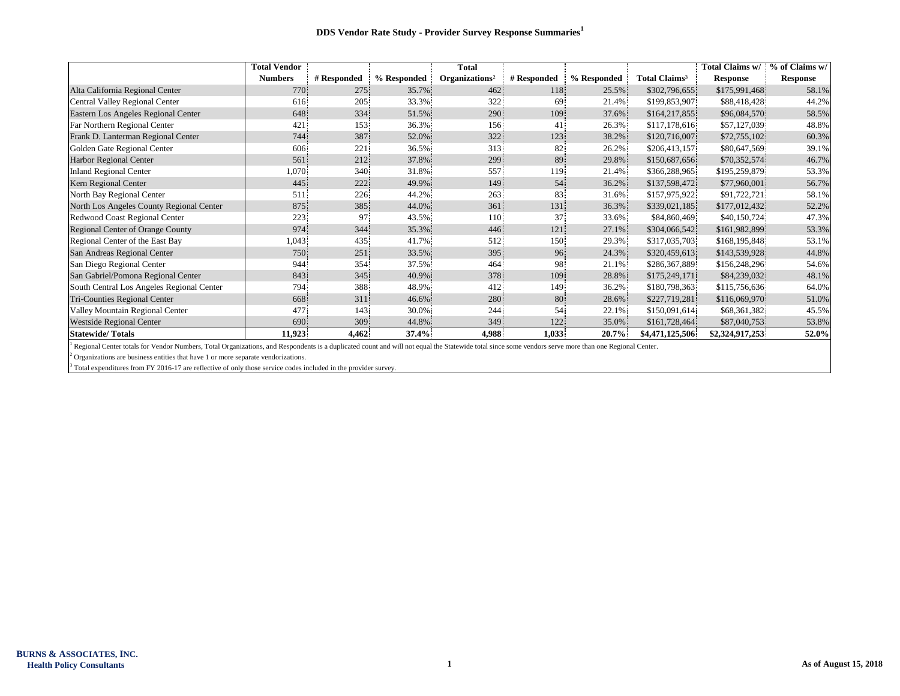|                                           | <b>Total Vendor</b> |             |             | <b>Total</b>               |             |             |                           | Total Claims w/ | % of Claims w/  |
|-------------------------------------------|---------------------|-------------|-------------|----------------------------|-------------|-------------|---------------------------|-----------------|-----------------|
|                                           | <b>Numbers</b>      | # Responded | % Responded | Organizations <sup>2</sup> | # Responded | % Responded | Total Claims <sup>3</sup> | <b>Response</b> | <b>Response</b> |
| Alta California Regional Center           | 770                 | 275         | 35.7%       | 462                        | 118         | 25.5%       | \$302,796,655             | \$175,991,468   | 58.1%           |
| Central Valley Regional Center            | 616                 | 205         | 33.3%       | 322                        | 69          | 21.4%       | \$199,853,907             | \$88,418,428    | 44.2%           |
| Eastern Los Angeles Regional Center       | 648                 | 334         | 51.5%       | 290                        | 109         | 37.6%       | \$164,217,855             | \$96,084,570    | 58.5%           |
| Far Northern Regional Center              | 421                 | 153         | 36.3%       | 156                        | 41          | 26.3%       | \$117,178,616             | \$57,127,039    | 48.8%           |
| Frank D. Lanterman Regional Center        | 744                 | 387         | 52.0%       | 322                        | 123         | 38.2%       | \$120,716,007             | \$72,755,102    | 60.3%           |
| Golden Gate Regional Center               | 606                 | 221         | 36.5%       | 313                        | 82          | 26.2%       | \$206,413,157             | \$80,647,569    | 39.1%           |
| <b>Harbor Regional Center</b>             | 561                 | 212         | 37.8%       | 299                        | 89          | 29.8%       | \$150,687,656             | \$70,352,574    | 46.7%           |
| <b>Inland Regional Center</b>             | 1,070               | 340         | 31.8%       | 557                        | 119         | 21.4%       | \$366,288,965             | \$195,259,879   | 53.3%           |
| Kern Regional Center                      | 445                 | 222         | 49.9%       | 149                        | 54          | 36.2%       | \$137,598,472             | \$77,960,001    | 56.7%           |
| North Bay Regional Center                 | 511                 | 226         | 44.2%       | 263                        | 83          | 31.6%       | \$157,975,922             | \$91,722,721    | 58.1%           |
| North Los Angeles County Regional Center  | 875                 | 385.        | 44.0%       | 361                        | 131         | 36.3%       | \$339,021,185             | \$177,012,432   | 52.2%           |
| Redwood Coast Regional Center             | 223                 | 97          | 43.5%       | 110 <sup>°</sup>           | 37          | 33.6%       | \$84,860,469              | \$40,150,724    | 47.3%           |
| Regional Center of Orange County          | 974                 | 344         | 35.3%       | 446                        | 121         | 27.1%       | \$304,066,542             | \$161,982,899   | 53.3%           |
| Regional Center of the East Bay           | 1,043               | 435         | 41.7%       | 512                        | 150         | 29.3%       | \$317,035,703.            | \$168,195,848.  | 53.1%           |
| San Andreas Regional Center               | 750                 | 251         | 33.5%       | 395                        | 96          | 24.3%       | \$320,459,613             | \$143,539,928   | 44.8%           |
| San Diego Regional Center                 | 944                 | 354         | 37.5%       | 464                        | 98.         | 21.1%       | \$286,367,889             | \$156,248,296   | 54.6%           |
| San Gabriel/Pomona Regional Center        | 843                 | 345         | 40.9%       | 378                        | 109         | 28.8%       | \$175,249,171             | \$84,239,032    | 48.1%           |
| South Central Los Angeles Regional Center | 794                 | 388         | 48.9%       | 412                        | 149         | 36.2%       | \$180,798,363             | \$115,756,636   | 64.0%           |
| Tri-Counties Regional Center              | 668                 | 311         | 46.6%       | 280                        | 80          | 28.6%       | \$227,719,281             | \$116,069,970   | 51.0%           |
| Valley Mountain Regional Center           | 477                 | 143         | 30.0%       | 244                        | 54          | 22.1%       | \$150,091,614             | \$68,361,382    | 45.5%           |
| <b>Westside Regional Center</b>           | 690                 | 309         | 44.8%       | 349                        | 122         | 35.0%       | \$161,728,464             | \$87,040,753    | 53.8%           |
| <b>Statewide/Totals</b>                   | 11,923              | 4,462       | $37.4\%$    | 4,988                      | 1,033       | $20.7\%$    | \$4,471,125,506           | \$2,324,917,253 | 52.0%           |

<sup>1</sup> Regional Center totals for Vendor Numbers, Total Organizations, and Respondents is a duplicated count and will not equal the Statewide total since some vendors serve more than one Regional Center.

 $2$  Organizations are business entities that have 1 or more separate vendorizations.

<sup>3</sup> Total expenditures from FY 2016-17 are reflective of only those service codes included in the provider survey.